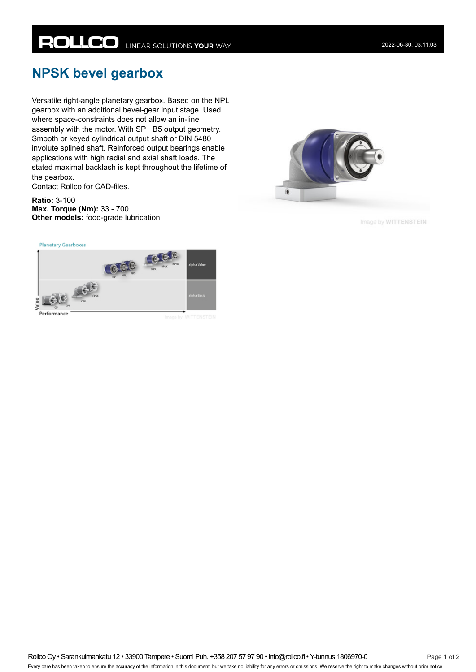## **NPSK bevel gearbox**

Versatile right-angle planetary gearbox. Based on the NPL gearbox with an additional bevel-gear input stage. Used where space-constraints does not allow an in-line assembly with the motor. With SP+ B5 output geometry. Smooth or keyed cylindrical output shaft or DIN 5480 involute splined shaft. Reinforced output bearings enable applications with high radial and axial shaft loads. The stated maximal backlash is kept throughout the lifetime of the gearbox.

Contact Rollco for CAD-files.

**Ratio:** 3-100 **Max. Torque (Nm):** 33 - 700 **Other models:** food-grade lubrication



Image by WITTENSTEIN